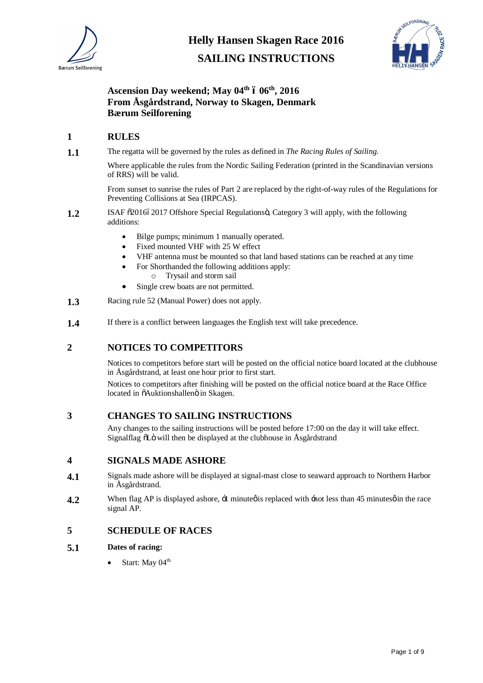

**SAILING INSTRUCTIONS**



# **Ascension Day weekend; May 04th – 06th, 2016 From Åsgårdstrand, Norway to Skagen, Denmark Bærum Seilforening**

#### **1 RULES**

**1.1** The regatta will be governed by the rules as defined in *The Racing Rules of Sailing*.

Where applicable the rules from the Nordic Sailing Federation (printed in the Scandinavian versions of RRS) will be valid.

From sunset to sunrise the rules of Part 2 are replaced by the right-of-way rules of the Regulations for Preventing Collisions at Sea (IRPCAS).

- **1.2** ISAF  $\tilde{\sigma}$ 2016 $\acute{\sigma}$ 2017 Offshore Special Regulations  $\ddot{\sigma}$ , Category 3 will apply, with the following additions:
	- Bilge pumps; minimum 1 manually operated.
	- Fixed mounted VHF with 25 W effect
	- · VHF antenna must be mounted so that land based stations can be reached at any time
	- For Shorthanded the following additions apply:
		- o Trysail and storm sail
	- Single crew boats are not permitted.
- **1.3** Racing rule 52 (Manual Power) does not apply.
- **1.4** If there is a conflict between languages the English text will take precedence.

### **2 NOTICES TO COMPETITORS**

Notices to competitors before start will be posted on the official notice board located at the clubhouse in Åsgårdstrand, at least one hour prior to first start.

Notices to competitors after finishing will be posted on the official notice board at the Race Office located in  $\tilde{o}$ Auktionshallenö in Skagen.

#### **3 CHANGES TO SAILING INSTRUCTIONS**

Any changes to the sailing instructions will be posted before 17:00 on the day it will take effect. Signalflag  $\delta$ Lö will then be displayed at the clubhouse in Åsgårdstrand

#### **4 SIGNALS MADE ASHORE**

- **4.1** Signals made ashore will be displayed at signal-mast close to seaward approach to Northern Harbor in Åsgårdstrand.
- **4.2** When flag AP is displayed ashore,  $\pm$  minute  $\phi$  is replaced with  $\pm$  not less than 45 minutes  $\phi$  in the race signal AP.

#### **5 SCHEDULE OF RACES**

#### **5.1 Dates of racing:**

Start: May 04<sup>th</sup>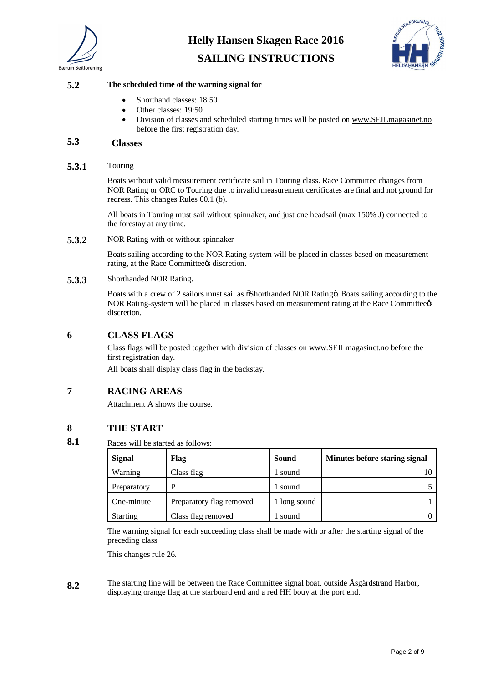

# SEILFORENING

# **SAILING INSTRUCTIONS**

#### **5.2 The scheduled time of the warning signal for**

- Shorthand classes: 18:50
- Other classes: 19:50
- · Division of classes and scheduled starting times will be posted on www.SEILmagasinet.no before the first registration day.

## **5.3 Classes**

#### **5.3.1** Touring

Boats without valid measurement certificate sail in Touring class. Race Committee changes from NOR Rating or ORC to Touring due to invalid measurement certificates are final and not ground for redress. This changes Rules 60.1 (b).

All boats in Touring must sail without spinnaker, and just one headsail (max 150% J) connected to the forestay at any time.

**5.3.2** NOR Rating with or without spinnaker

Boats sailing according to the NOR Rating-system will be placed in classes based on measurement rating, at the Race Committee is discretion.

#### **5.3.3** Shorthanded NOR Rating.

Boats with a crew of 2 sailors must sail as  $\delta$ Shorthanded NOR Rating $\delta$ . Boats sailing according to the NOR Rating-system will be placed in classes based on measurement rating at the Race Committeees discretion.

#### **6 CLASS FLAGS**

Class flags will be posted together with division of classes on www.SEILmagasinet.no before the first registration day.

All boats shall display class flag in the backstay.

# **7 RACING AREAS**

Attachment A shows the course.

### **8 THE START**

**8.1** Races will be started as follows:

| <b>Signal</b>   | Flag                     | Sound        | Minutes before staring signal |
|-----------------|--------------------------|--------------|-------------------------------|
| Warning         | Class flag               | sound        |                               |
| Preparatory     |                          | sound        |                               |
| One-minute      | Preparatory flag removed | 1 long sound |                               |
| <b>Starting</b> | Class flag removed       | sound        |                               |

The warning signal for each succeeding class shall be made with or after the starting signal of the preceding class

This changes rule 26.

**8.2** The starting line will be between the Race Committee signal boat, outside Åsgårdstrand Harbor, displaying orange flag at the starboard end and a red HH bouy at the port end.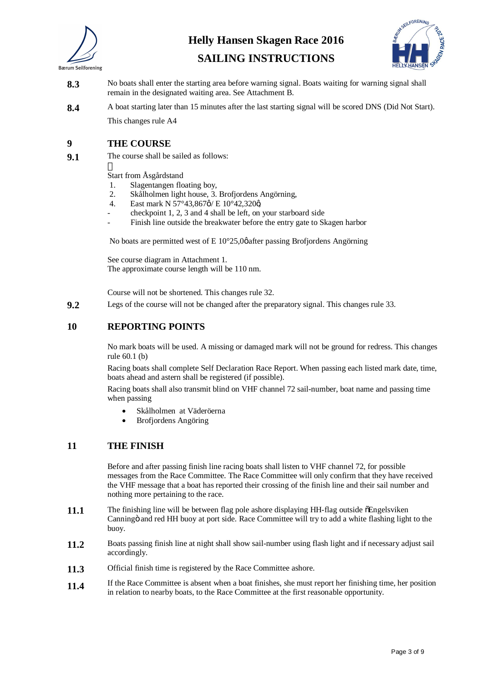



**SAILING INSTRUCTIONS**

- **8.3** No boats shall enter the starting area before warning signal. Boats waiting for warning signal shall remain in the designated waiting area. See Attachment B.
- **8.4** A boat starting later than 15 minutes after the last starting signal will be scored DNS (Did Not Start). This changes rule A4

# **9 THE COURSE**

**9.1** The course shall be sailed as follows:

Start from Åsgårdstand

- 1. Slagentangen floating boy,
- 2. Skålholmen light house, 3. Brofjordens Angörning,
- 4. East mark N  $57^{\circ}43,867\phi$ / E  $10^{\circ}42,320\phi$
- checkpoint 1, 2, 3 and 4 shall be left, on your starboard side
- Finish line outside the breakwater before the entry gate to Skagen harbor

No boats are permitted west of E  $10^{\circ}25.0\%$  after passing Brofjordens Angörning

See course diagram in Attachment 1. The approximate course length will be 110 nm.

Course will not be shortened. This changes rule 32.

**9.2** Legs of the course will not be changed after the preparatory signal. This changes rule 33.

### **10 REPORTING POINTS**

No mark boats will be used. A missing or damaged mark will not be ground for redress. This changes rule 60.1 (b)

Racing boats shall complete Self Declaration Race Report. When passing each listed mark date, time, boats ahead and astern shall be registered (if possible).

Racing boats shall also transmit blind on VHF channel 72 sail-number, boat name and passing time when passing

- Skålholmen at Väderöerna
- · Brofjordens Angöring

### **11 THE FINISH**

Before and after passing finish line racing boats shall listen to VHF channel 72, for possible messages from the Race Committee. The Race Committee will only confirm that they have received the VHF message that a boat has reported their crossing of the finish line and their sail number and nothing more pertaining to the race.

- **11.1** The finishing line will be between flag pole ashore displaying HH-flag outside  $\delta$ Engelsviken Canningö and red HH buoy at port side. Race Committee will try to add a white flashing light to the buoy.
- **11.2** Boats passing finish line at night shall show sail-number using flash light and if necessary adjust sail accordingly.
- **11.3** Official finish time is registered by the Race Committee ashore.
- **11.4** If the Race Committee is absent when a boat finishes, she must report her finishing time, her position in relation to nearby boats, to the Race Committee at the first reasonable opportunity.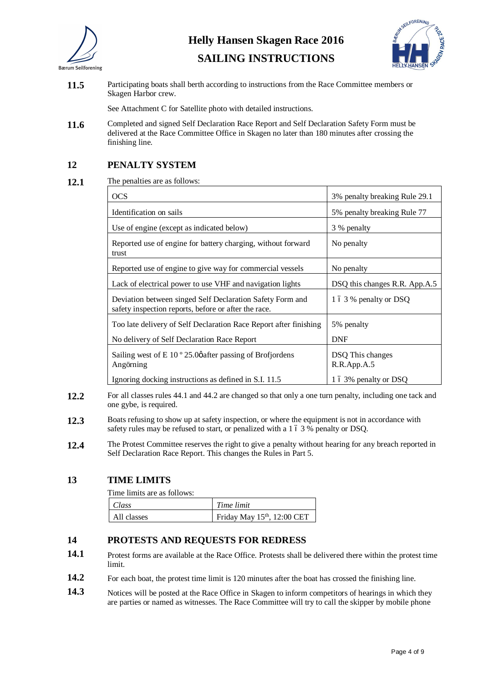



**SAILING INSTRUCTIONS**

11.5 Participating boats shall berth according to instructions from the Race Committee members or Skagen Harbor crew.

See Attachment C for Satellite photo with detailed instructions.

**11.6** Completed and signed Self Declaration Race Report and Self Declaration Safety Form must be delivered at the Race Committee Office in Skagen no later than 180 minutes after crossing the finishing line.

## **12 PENALTY SYSTEM**

**12.1** The penalties are as follows:

| <b>OCS</b>                                                                                                        | 3% penalty breaking Rule 29.1         |
|-------------------------------------------------------------------------------------------------------------------|---------------------------------------|
| Identification on sails                                                                                           | 5% penalty breaking Rule 77           |
| Use of engine (except as indicated below)                                                                         | 3 % penalty                           |
| Reported use of engine for battery charging, without forward<br>trust                                             | No penalty                            |
| Reported use of engine to give way for commercial vessels                                                         | No penalty                            |
| Lack of electrical power to use VHF and navigation lights                                                         | DSQ this changes R.R. App.A.5         |
| Deviation between singed Self Declaration Safety Form and<br>safety inspection reports, before or after the race. | 1 6 3 % penalty or DSQ                |
| Too late delivery of Self Declaration Race Report after finishing                                                 | 5% penalty                            |
| No delivery of Self Declaration Race Report                                                                       | <b>DNF</b>                            |
| Sailing west of E 10 $^{\circ}$ 25.0 $\phi$ after passing of Brofjordens<br>Angörning                             | DSQ This changes<br>$R.R.$ App. $A.5$ |
| Ignoring docking instructions as defined in S.I. 11.5                                                             | 1 6 3% penalty or DSQ                 |

- **12.2** For all classes rules 44.1 and 44.2 are changed so that only a one turn penalty, including one tack and one gybe, is required.
- 12.3 Boats refusing to show up at safety inspection, or where the equipment is not in accordance with safety rules may be refused to start, or penalized with a 1 6 3 % penalty or DSQ.
- 12.4 The Protest Committee reserves the right to give a penalty without hearing for any breach reported in Self Declaration Race Report. This changes the Rules in Part 5.

### **13 TIME LIMITS**

Time limits are as follows:

| Class       | Time limit                 |
|-------------|----------------------------|
| All classes | Friday May 15th, 12:00 CET |

### **14 PROTESTS AND REQUESTS FOR REDRESS**

- 14.1 Protest forms are available at the Race Office. Protests shall be delivered there within the protest time limit.
- 14.2 For each boat, the protest time limit is 120 minutes after the boat has crossed the finishing line.
- 14.3 Notices will be posted at the Race Office in Skagen to inform competitors of hearings in which they are parties or named as witnesses. The Race Committee will try to call the skipper by mobile phone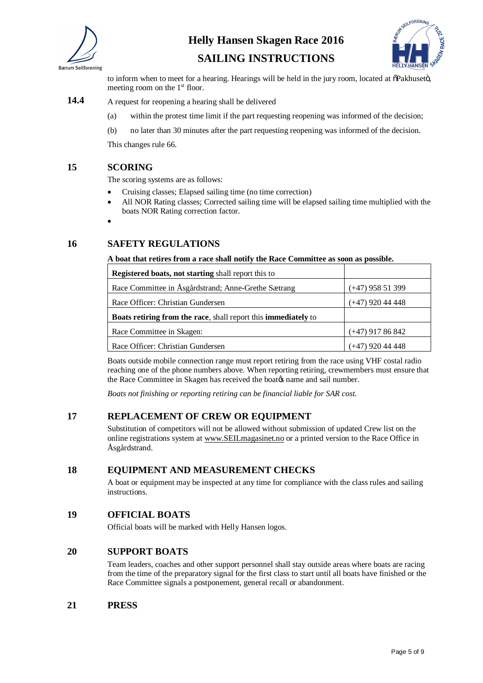



**SAILING INSTRUCTIONS**

to inform when to meet for a hearing. Hearings will be held in the jury room, located at  $\delta$ Pakhusetö, meeting room on the  $1<sup>st</sup>$  floor.

#### 14.4 A request for reopening a hearing shall be delivered

- (a) within the protest time limit if the part requesting reopening was informed of the decision;
- (b) no later than 30 minutes after the part requesting reopening was informed of the decision.

This changes rule 66.

#### **15 SCORING**

The scoring systems are as follows:

- · Cruising classes; Elapsed sailing time (no time correction)
- · All NOR Rating classes; Corrected sailing time will be elapsed sailing time multiplied with the boats NOR Rating correction factor.
- ·

## **16 SAFETY REGULATIONS**

#### **A boat that retires from a race shall notify the Race Committee as soon as possible.**

| <b>Registered boats, not starting shall report this to</b>     |                    |
|----------------------------------------------------------------|--------------------|
| Race Committee in Åsgårdstrand; Anne-Grethe Sætrang            | $(+47)$ 958 51 399 |
| Race Officer: Christian Gundersen                              | $(+47)$ 920 44 448 |
| Boats retiring from the race, shall report this immediately to |                    |
| Race Committee in Skagen:                                      | $(+47)$ 917 86 842 |
| Race Officer: Christian Gundersen                              | 920 44 448         |

Boats outside mobile connection range must report retiring from the race using VHF costal radio reaching one of the phone numbers above. When reporting retiring, crewmembers must ensure that the Race Committee in Skagen has received the boat  $\alpha$  name and sail number.

*Boats not finishing or reporting retiring can be financial liable for SAR cost.*

### **17 REPLACEMENT OF CREW OR EQUIPMENT**

Substitution of competitors will not be allowed without submission of updated Crew list on the online registrations system at www.SEILmagasinet.no or a printed version to the Race Office in Åsgårdstrand.

### **18 EQUIPMENT AND MEASUREMENT CHECKS**

A boat or equipment may be inspected at any time for compliance with the class rules and sailing instructions.

### **19 OFFICIAL BOATS**

Official boats will be marked with Helly Hansen logos.

### **20 SUPPORT BOATS**

Team leaders, coaches and other support personnel shall stay outside areas where boats are racing from the time of the preparatory signal for the first class to start until all boats have finished or the Race Committee signals a postponement, general recall or abandonment.

### **21 PRESS**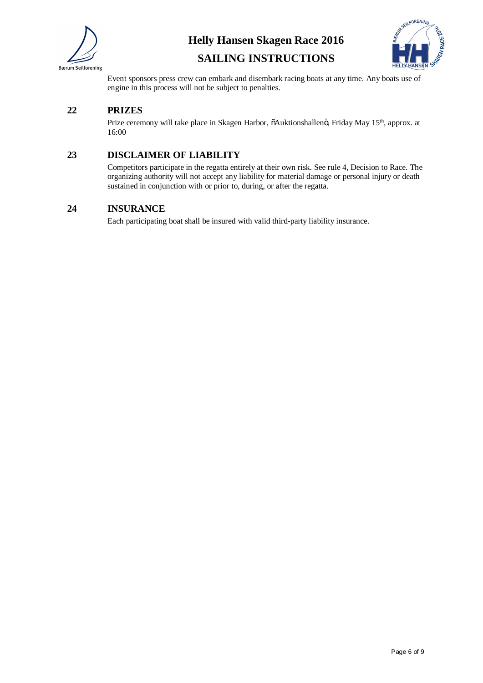



# **SAILING INSTRUCTIONS**

Event sponsors press crew can embark and disembark racing boats at any time. Any boats use of engine in this process will not be subject to penalties.

# **22 PRIZES**

Prize ceremony will take place in Skagen Harbor,  $\delta$ Auktionshallenö, Friday May 15<sup>th</sup>, approx. at 16:00

# **23 DISCLAIMER OF LIABILITY**

Competitors participate in the regatta entirely at their own risk. See rule 4, Decision to Race. The organizing authority will not accept any liability for material damage or personal injury or death sustained in conjunction with or prior to, during, or after the regatta.

## **24 INSURANCE**

Each participating boat shall be insured with valid third-party liability insurance.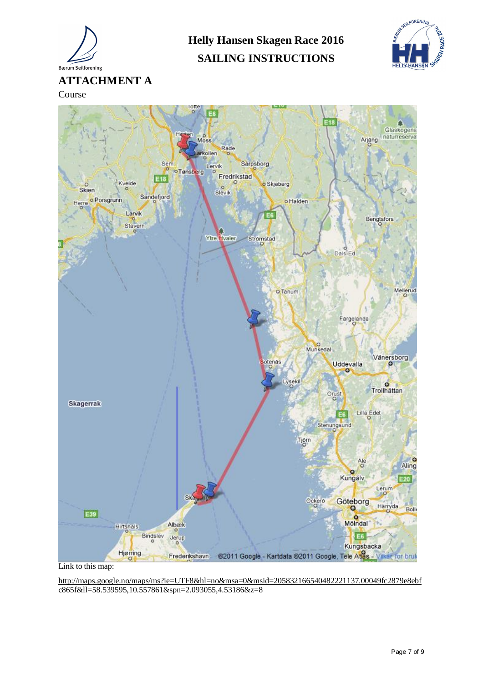

**Helly Hansen Skagen Race 2016 SAILING INSTRUCTIONS**



Course



Link to this map:

http://maps.google.no/maps/ms?ie=UTF8&hl=no&msa=0&msid=205832166540482221137.00049fc2879e8ebf c865f&ll=58.539595,10.557861&spn=2.093055,4.53186&z=8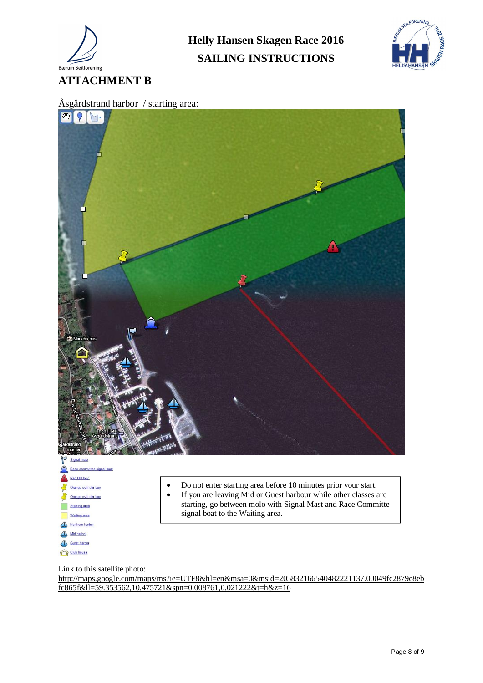

**SAILING INSTRUCTIONS**





Link to this satellite photo:

Gurst harbor Club house

http://maps.google.com/maps/ms?ie=UTF8&hl=en&msa=0&msid=205832166540482221137.00049fc2879e8eb fc865f&ll=59.353562,10.475721&spn=0.008761,0.021222&t=h&z=16